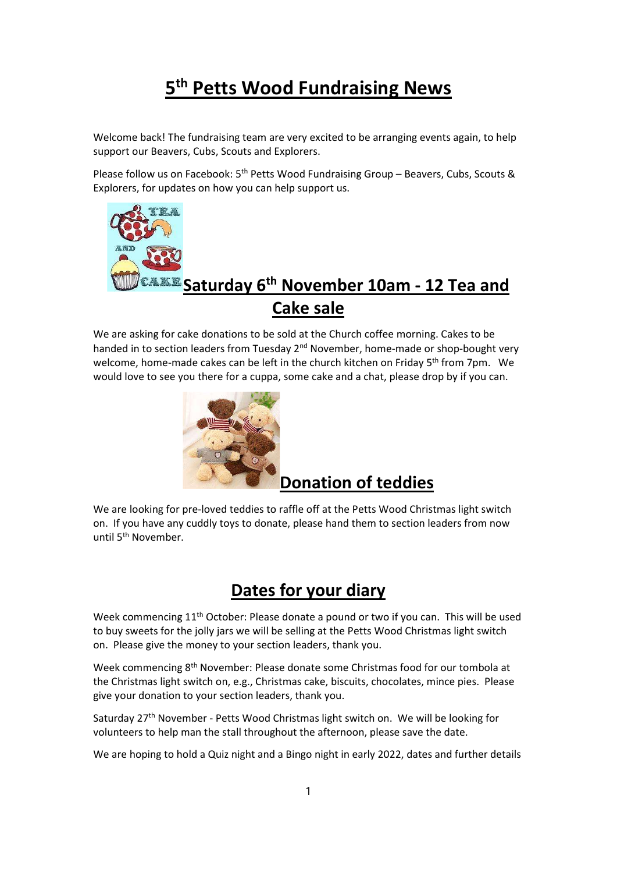## 5<sup>th</sup> Petts Wood Fundraising News

Welcome back! The fundraising team are very excited to be arranging events again, to help support our Beavers, Cubs, Scouts and Explorers.

Please follow us on Facebook: 5th Petts Wood Fundraising Group – Beavers, Cubs, Scouts & Explorers, for updates on how you can help support us.



## Cake sale

We are asking for cake donations to be sold at the Church coffee morning. Cakes to be handed in to section leaders from Tuesday  $2<sup>nd</sup>$  November, home-made or shop-bought very welcome, home-made cakes can be left in the church kitchen on Friday 5<sup>th</sup> from 7pm. We would love to see you there for a cuppa, some cake and a chat, please drop by if you can.



## Donation of teddies

We are looking for pre-loved teddies to raffle off at the Petts Wood Christmas light switch on. If you have any cuddly toys to donate, please hand them to section leaders from now until 5<sup>th</sup> November.

## Dates for your diary

Week commencing 11<sup>th</sup> October: Please donate a pound or two if you can. This will be used to buy sweets for the jolly jars we will be selling at the Petts Wood Christmas light switch on. Please give the money to your section leaders, thank you.

Week commencing 8th November: Please donate some Christmas food for our tombola at the Christmas light switch on, e.g., Christmas cake, biscuits, chocolates, mince pies. Please give your donation to your section leaders, thank you.

Saturday 27<sup>th</sup> November - Petts Wood Christmas light switch on. We will be looking for volunteers to help man the stall throughout the afternoon, please save the date.

We are hoping to hold a Quiz night and a Bingo night in early 2022, dates and further details